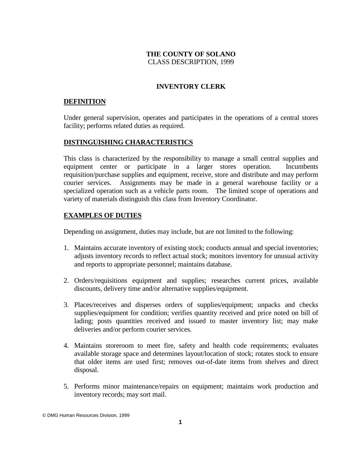# **THE COUNTY OF SOLANO** CLASS DESCRIPTION, 1999

# **INVENTORY CLERK**

## **DEFINITION**

Under general supervision, operates and participates in the operations of a central stores facility; performs related duties as required.

### **DISTINGUISHING CHARACTERISTICS**

This class is characterized by the responsibility to manage a small central supplies and equipment center or participate in a larger stores operation. Incumbents requisition/purchase supplies and equipment, receive, store and distribute and may perform courier services. Assignments may be made in a general warehouse facility or a specialized operation such as a vehicle parts room. The limited scope of operations and variety of materials distinguish this class from Inventory Coordinator.

## **EXAMPLES OF DUTIES**

Depending on assignment, duties may include, but are not limited to the following:

- 1. Maintains accurate inventory of existing stock; conducts annual and special inventories; adjusts inventory records to reflect actual stock; monitors inventory for unusual activity and reports to appropriate personnel; maintains database.
- 2. Orders/requisitions equipment and supplies; researches current prices, available discounts, delivery time and/or alternative supplies/equipment.
- 3. Places/receives and disperses orders of supplies/equipment; unpacks and checks supplies/equipment for condition; verifies quantity received and price noted on bill of lading; posts quantities received and issued to master inventory list; may make deliveries and/or perform courier services.
- 4. Maintains storeroom to meet fire, safety and health code requirements; evaluates available storage space and determines layout/location of stock; rotates stock to ensure that older items are used first; removes out-of-date items from shelves and direct disposal.
- 5. Performs minor maintenance/repairs on equipment; maintains work production and inventory records; may sort mail.

<sup>©</sup> DMG Human Resources Division, 1999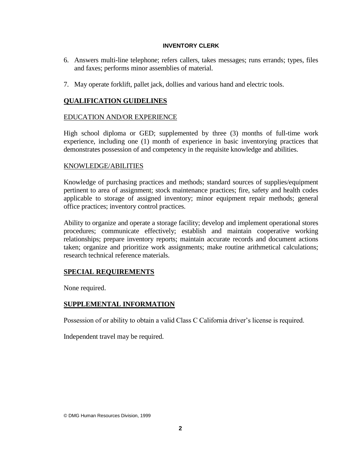#### **INVENTORY CLERK**

- 6. Answers multi-line telephone; refers callers, takes messages; runs errands; types, files and faxes; performs minor assemblies of material.
- 7. May operate forklift, pallet jack, dollies and various hand and electric tools.

# **QUALIFICATION GUIDELINES**

### EDUCATION AND/OR EXPERIENCE

High school diploma or GED; supplemented by three (3) months of full-time work experience, including one (1) month of experience in basic inventorying practices that demonstrates possession of and competency in the requisite knowledge and abilities.

### KNOWLEDGE/ABILITIES

Knowledge of purchasing practices and methods; standard sources of supplies/equipment pertinent to area of assignment; stock maintenance practices; fire, safety and health codes applicable to storage of assigned inventory; minor equipment repair methods; general office practices; inventory control practices.

Ability to organize and operate a storage facility; develop and implement operational stores procedures; communicate effectively; establish and maintain cooperative working relationships; prepare inventory reports; maintain accurate records and document actions taken; organize and prioritize work assignments; make routine arithmetical calculations; research technical reference materials.

# **SPECIAL REQUIREMENTS**

None required.

# **SUPPLEMENTAL INFORMATION**

Possession of or ability to obtain a valid Class C California driver's license is required.

Independent travel may be required.

© DMG Human Resources Division, 1999